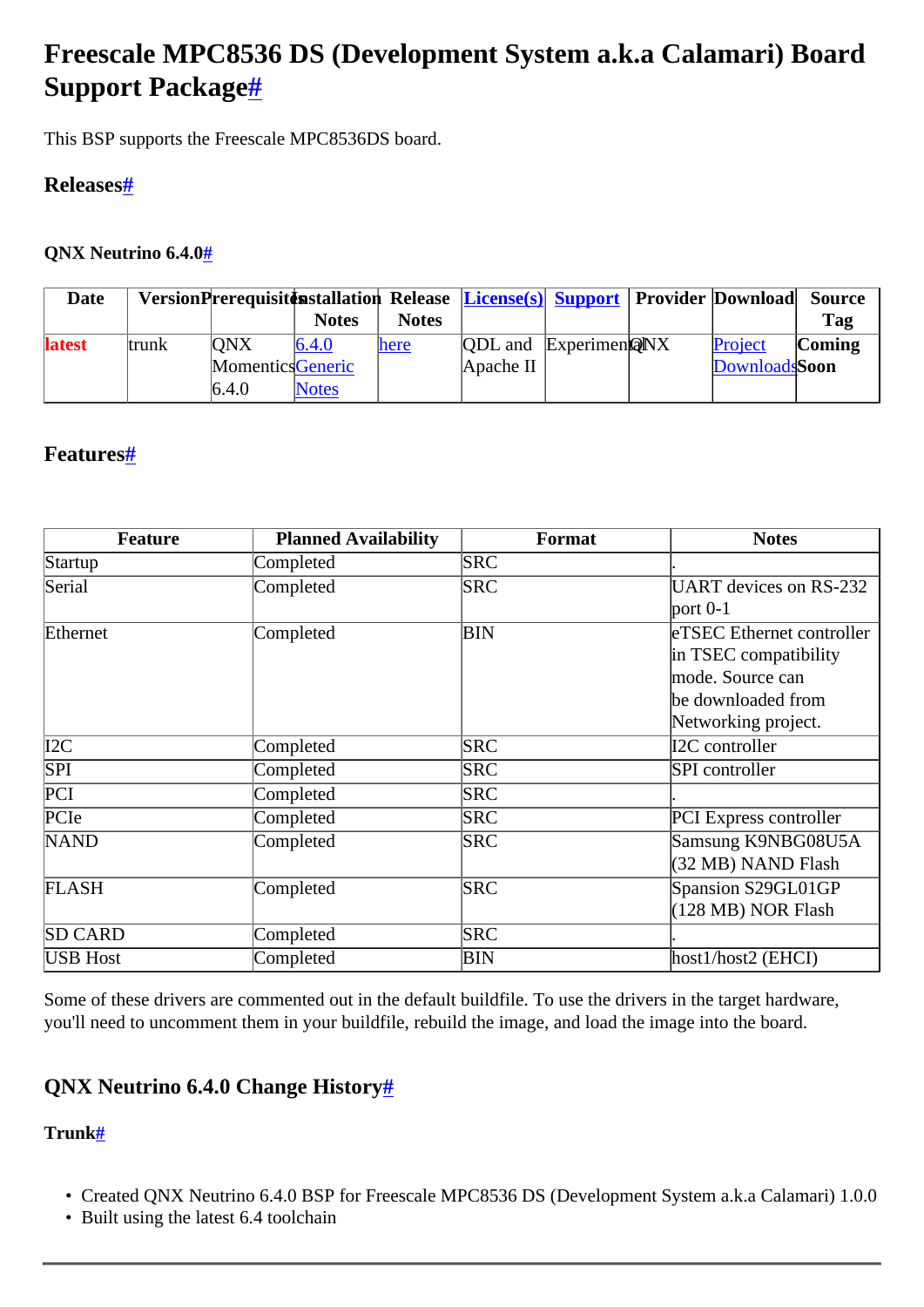# <span id="page-0-0"></span>**Freescale MPC8536 DS (Development System a.k.a Calamari) Board Support Package[#](#page-0-0)**

This BSP supports the Freescale MPC8536DS board.

## <span id="page-0-1"></span>**Release[s#](#page-0-1)**

#### <span id="page-0-2"></span>**QNX Neutrino 6.4.[0#](#page-0-2)**

| Date          |       |                  |              |              | VersionPrerequisittinitallation Release License(s) Support Provider Download |  |               | <b>Source</b> |
|---------------|-------|------------------|--------------|--------------|------------------------------------------------------------------------------|--|---------------|---------------|
|               |       |                  | <b>Notes</b> | <b>Notes</b> |                                                                              |  |               | Tag           |
| <b>latest</b> | trunk | <b>ONX</b>       | 6.4.0        | here         | <b>QDL</b> and ExperimenQNX                                                  |  | Project       | Coming        |
|               |       | MomenticsGeneric |              |              | Apache II                                                                    |  | DownloadsSoon |               |
|               |       | 6.4.0            | <b>Notes</b> |              |                                                                              |  |               |               |

## <span id="page-0-3"></span>**Features[#](#page-0-3)**

| <b>Feature</b>   | <b>Planned Availability</b> | Format     | <b>Notes</b>                     |
|------------------|-----------------------------|------------|----------------------------------|
| Startup          | Completed                   | <b>SRC</b> |                                  |
| Serial           | Completed                   | <b>SRC</b> | <b>UART</b> devices on RS-232    |
|                  |                             |            | port $0-1$                       |
| Ethernet         | Completed                   | <b>BIN</b> | <b>eTSEC</b> Ethernet controller |
|                  |                             |            | in TSEC compatibility            |
|                  |                             |            | mode. Source can                 |
|                  |                             |            | be downloaded from               |
|                  |                             |            | Networking project.              |
| $\overline{I2C}$ | Completed                   | <b>SRC</b> | I2C controller                   |
| $\overline{SPI}$ | Completed                   | <b>SRC</b> | SPI controller                   |
| PCI              | Completed                   | <b>SRC</b> |                                  |
| PCIe             | Completed                   | <b>SRC</b> | <b>PCI</b> Express controller    |
| <b>NAND</b>      | Completed                   | <b>SRC</b> | Samsung K9NBG08U5A               |
|                  |                             |            | (32 MB) NAND Flash               |
| <b>FLASH</b>     | Completed                   | <b>SRC</b> | Spansion S29GL01GP               |
|                  |                             |            | $(128 \text{ MB})$ NOR Flash     |
| <b>SD CARD</b>   | Completed                   | <b>SRC</b> |                                  |
| <b>USB</b> Host  | Completed                   | ΒIΝ        | host1/host2 (EHCI)               |

Some of these drivers are commented out in the default buildfile. To use the drivers in the target hardware, you'll need to uncomment them in your buildfile, rebuild the image, and load the image into the board.

## <span id="page-0-4"></span>**QNX Neutrino 6.4.0 Change History[#](#page-0-4)**

#### <span id="page-0-5"></span>**Trunk[#](#page-0-5)**

- Created QNX Neutrino 6.4.0 BSP for Freescale MPC8536 DS (Development System a.k.a Calamari) 1.0.0
- Built using the latest 6.4 toolchain